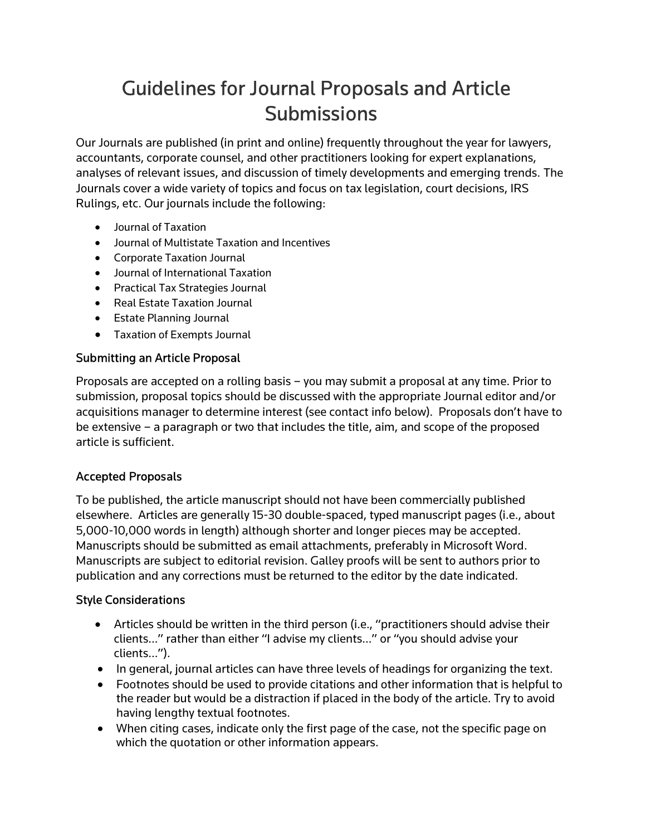# Guidelines for Journal Proposals and Article **Submissions**

Our Journals are published (in print and online) frequently throughout the year for lawyers, accountants, corporate counsel, and other practitioners looking for expert explanations, analyses of relevant issues, and discussion of timely developments and emerging trends. The Journals cover a wide variety of topics and focus on tax legislation, court decisions, IRS Rulings, etc. Our journals include the following:

- Journal of Taxation
- Journal of Multistate Taxation and Incentives
- Corporate Taxation Journal
- Journal of International Taxation
- Practical Tax Strategies Journal
- Real Estate Taxation Journal
- **•** Estate Planning Journal
- Taxation of Exempts Journal

#### Submitting an Article Proposal

Proposals are accepted on a rolling basis – you may submit a proposal at any time. Prior to submission, proposal topics should be discussed with the appropriate Journal editor and/or acquisitions manager to determine interest (see contact info below). Proposals don't have to be extensive – a paragraph or two that includes the title, aim, and scope of the proposed article is sufficient.

## Accepted Proposals

To be published, the article manuscript should not have been commercially published elsewhere. Articles are generally 15-30 double-spaced, typed manuscript pages (i.e., about 5,000-10,000 words in length) although shorter and longer pieces may be accepted. Manuscripts should be submitted as email attachments, preferably in Microsoft Word. Manuscripts are subject to editorial revision. Galley proofs will be sent to authors prior to publication and any corrections must be returned to the editor by the date indicated.

## Style Considerations

- Articles should be written in the third person (i.e., "practitioners should advise their clients…" rather than either "I advise my clients…" or "you should advise your clients…").
- In general, journal articles can have three levels of headings for organizing the text.
- Footnotes should be used to provide citations and other information that is helpful to the reader but would be a distraction if placed in the body of the article. Try to avoid having lengthy textual footnotes.
- When citing cases, indicate only the first page of the case, not the specific page on which the quotation or other information appears.